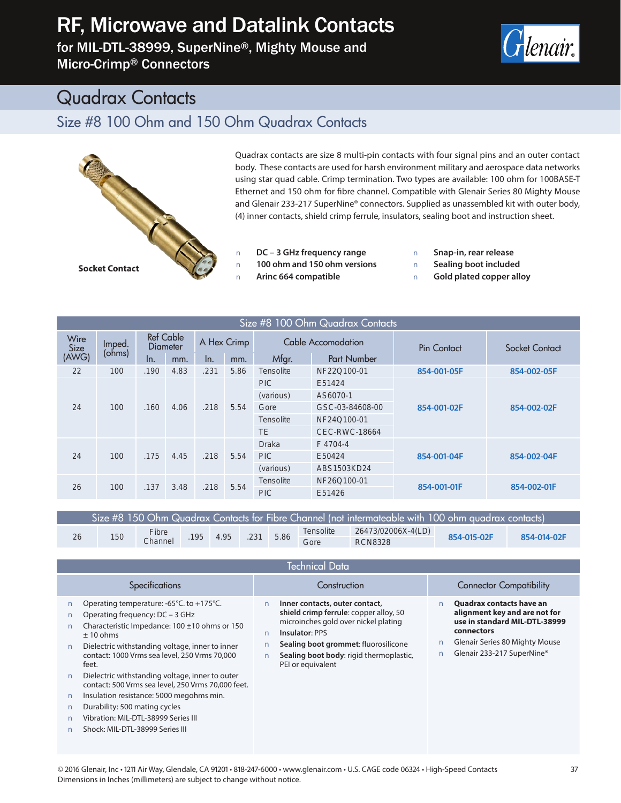## RF, Microwave and Datalink Contacts

for MIL-DTL-38999, SuperNine®, Mighty Mouse and Micro-Crimp® Connectors



### Quadrax Contacts

### Size #8 100 Ohm and 150 Ohm Quadrax Contacts



Quadrax contacts are size 8 multi-pin contacts with four signal pins and an outer contact body. These contacts are used for harsh environment military and aerospace data networks using star quad cable. Crimp termination. Two types are available: 100 ohm for 100BASE-T Ethernet and 150 ohm for fibre channel. Compatible with Glenair Series 80 Mighty Mouse and Glenair 233-217 SuperNine® connectors. Supplied as unassembled kit with outer body, (4) inner contacts, shield crimp ferrule, insulators, sealing boot and instruction sheet.

**Q DC – 3 GHz frequency range Q 100 ohm and 150 ohm versions Q Arinc 664 compatible**

**Q Snap-in, rear release Q Sealing boot included Q Gold plated copper alloy**

| Size #8 100 Ohm Quadrax Contacts |                  |                              |      |             |      |                    |                    |                    |                |
|----------------------------------|------------------|------------------------------|------|-------------|------|--------------------|--------------------|--------------------|----------------|
| Wire<br>Size<br>(AWG)            | Imped.<br>(ohms) | <b>Ref Cable</b><br>Diameter |      | A Hex Crimp |      | Cable Accomodation |                    | <b>Pin Contact</b> | Socket Contact |
|                                  |                  | In.                          | mm.  | In.         | mm.  | Mfgr.              | <b>Part Number</b> |                    |                |
| 22                               | 100              | .190                         | 4.83 | .231        | 5.86 | <b>Tensolite</b>   | NF22Q100-01        | 854-001-05F        | 854-002-05F    |
| 24                               | 100              | .160                         | 4.06 | .218        | 5.54 | <b>PIC</b>         | E51424             | 854-001-02F        | 854-002-02F    |
|                                  |                  |                              |      |             |      | (various)          | AS6070-1           |                    |                |
|                                  |                  |                              |      |             |      | Gore               | GSC-03-84608-00    |                    |                |
|                                  |                  |                              |      |             |      | <b>Tensolite</b>   | NF24Q100-01        |                    |                |
|                                  |                  |                              |      |             |      | <b>TE</b>          | CEC-RWC-18664      |                    |                |
| 24                               | 100              | .175                         | 4.45 | .218        | 5.54 | <b>Draka</b>       | F4704-4            | 854-001-04F        | 854-002-04F    |
|                                  |                  |                              |      |             |      | <b>PIC</b>         | E50424             |                    |                |
|                                  |                  |                              |      |             |      | (various)          | ABS1503KD24        |                    |                |
| 26                               | 100              | .137                         | 3.48 | .218        | 5.54 | Tensolite          | NF26Q100-01        |                    | 854-002-01F    |
|                                  |                  |                              |      |             |      | <b>PIC</b>         | E51426             | 854-001-01F        |                |

| Size #8 150 Ohm Quadrax Contacts for Fibre Channel (not intermateable with 100 ohm quadrax contacts) |     |                          |  |      |      |      |           |                    |             |             |
|------------------------------------------------------------------------------------------------------|-----|--------------------------|--|------|------|------|-----------|--------------------|-------------|-------------|
| 26                                                                                                   | 150 | Fibre<br>.195<br>Channel |  | 4.95 | .231 | 5.86 | Tensolite | 26473/02006X-4(LD) | 854-015-02F | 854-014-02F |
|                                                                                                      |     |                          |  |      |      |      | Gore      | <b>RCN8328</b>     |             |             |

| Technical Data                                                                                                                                                                                                                                                                                                                                                                                                                                                                                                         |                                                                                                                                                                                                                                            |                                                                                                                                                                                 |  |  |  |  |  |
|------------------------------------------------------------------------------------------------------------------------------------------------------------------------------------------------------------------------------------------------------------------------------------------------------------------------------------------------------------------------------------------------------------------------------------------------------------------------------------------------------------------------|--------------------------------------------------------------------------------------------------------------------------------------------------------------------------------------------------------------------------------------------|---------------------------------------------------------------------------------------------------------------------------------------------------------------------------------|--|--|--|--|--|
| Specifications                                                                                                                                                                                                                                                                                                                                                                                                                                                                                                         | Construction                                                                                                                                                                                                                               | <b>Connector Compatibility</b>                                                                                                                                                  |  |  |  |  |  |
| Operating temperature: -65°C. to +175°C.<br>Operating frequency: DC - 3 GHz<br>Characteristic Impedance: 100 ±10 ohms or 150<br>± 10 ohms<br>Dielectric withstanding voltage, inner to inner<br>contact: 1000 Vrms sea level, 250 Vrms 70,000<br>feet.<br>Dielectric withstanding voltage, inner to outer<br>contact: 500 Vrms sea level, 250 Vrms 70,000 feet.<br>Insulation resistance: 5000 megohms min.<br>Durability: 500 mating cycles<br>Vibration: MIL-DTL-38999 Series III<br>Shock: MIL-DTL-38999 Series III | Inner contacts, outer contact,<br>shield crimp ferrule: copper alloy, 50<br>microinches gold over nickel plating<br>Insulator: PPS<br>Sealing boot grommet: fluorosilicone<br>Sealing boot body: rigid thermoplastic,<br>PEI or equivalent | <b>Quadrax contacts have an</b><br>alignment key and are not for<br>use in standard MIL-DTL-38999<br>connectors<br>Glenair Series 80 Mighty Mouse<br>Glenair 233-217 SuperNine® |  |  |  |  |  |